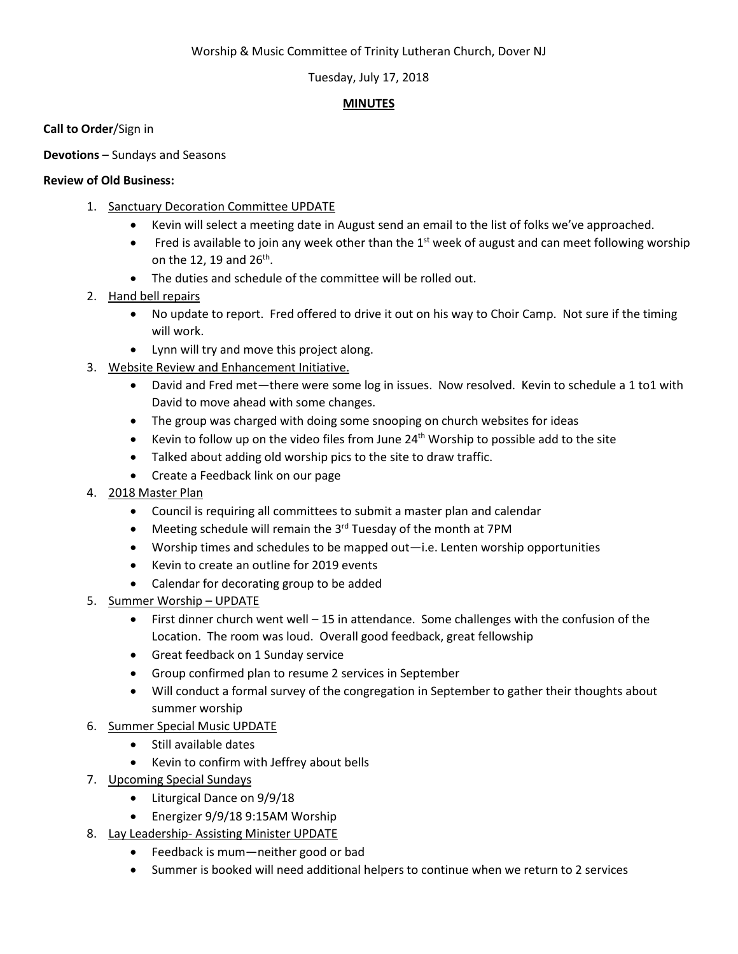#### Worship & Music Committee of Trinity Lutheran Church, Dover NJ

#### Tuesday, July 17, 2018

## **MINUTES**

**Call to Order**/Sign in

**Devotions** – Sundays and Seasons

#### **Review of Old Business:**

- 1. Sanctuary Decoration Committee UPDATE
	- Kevin will select a meeting date in August send an email to the list of folks we've approached.
	- Fred is available to join any week other than the 1<sup>st</sup> week of august and can meet following worship on the 12, 19 and  $26<sup>th</sup>$ .
	- The duties and schedule of the committee will be rolled out.
- 2. Hand bell repairs
	- No update to report. Fred offered to drive it out on his way to Choir Camp. Not sure if the timing will work.
	- Lynn will try and move this project along.
- 3. Website Review and Enhancement Initiative.
	- David and Fred met—there were some log in issues. Now resolved. Kevin to schedule a 1 to1 with David to move ahead with some changes.
	- The group was charged with doing some snooping on church websites for ideas
	- Kevin to follow up on the video files from June  $24<sup>th</sup>$  Worship to possible add to the site
	- Talked about adding old worship pics to the site to draw traffic.
	- Create a Feedback link on our page
- 4. 2018 Master Plan
	- Council is requiring all committees to submit a master plan and calendar
	- Meeting schedule will remain the  $3<sup>rd</sup>$  Tuesday of the month at 7PM
	- Worship times and schedules to be mapped out—i.e. Lenten worship opportunities
	- Kevin to create an outline for 2019 events
	- Calendar for decorating group to be added
- 5. Summer Worship UPDATE
	- First dinner church went well 15 in attendance. Some challenges with the confusion of the Location. The room was loud. Overall good feedback, great fellowship
	- Great feedback on 1 Sunday service
	- Group confirmed plan to resume 2 services in September
	- Will conduct a formal survey of the congregation in September to gather their thoughts about summer worship
- 6. Summer Special Music UPDATE
	- Still available dates
	- Kevin to confirm with Jeffrey about bells
- 7. Upcoming Special Sundays
	- Liturgical Dance on 9/9/18
	- Energizer 9/9/18 9:15AM Worship
- 8. Lay Leadership-Assisting Minister UPDATE
	- Feedback is mum—neither good or bad
	- Summer is booked will need additional helpers to continue when we return to 2 services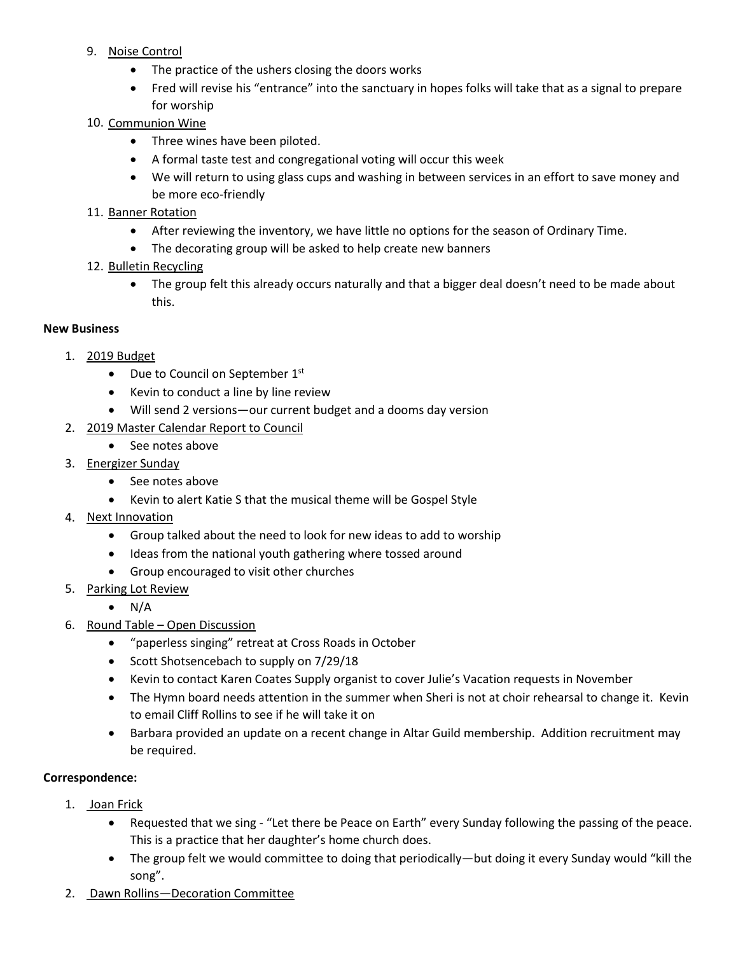- 9. Noise Control
	- The practice of the ushers closing the doors works
	- Fred will revise his "entrance" into the sanctuary in hopes folks will take that as a signal to prepare for worship
- 10. Communion Wine
	- Three wines have been piloted.
	- A formal taste test and congregational voting will occur this week
	- We will return to using glass cups and washing in between services in an effort to save money and be more eco-friendly
- 11. Banner Rotation
	- After reviewing the inventory, we have little no options for the season of Ordinary Time.
	- The decorating group will be asked to help create new banners
- 12. Bulletin Recycling
	- The group felt this already occurs naturally and that a bigger deal doesn't need to be made about this.

## **New Business**

- 1. 2019 Budget
	- Due to Council on September 1<sup>st</sup>
	- Kevin to conduct a line by line review
	- Will send 2 versions—our current budget and a dooms day version
- 2. 2019 Master Calendar Report to Council
	- See notes above
- 3. Energizer Sunday
	- See notes above
	- Kevin to alert Katie S that the musical theme will be Gospel Style
- 4. Next Innovation
	- Group talked about the need to look for new ideas to add to worship
	- Ideas from the national youth gathering where tossed around
	- Group encouraged to visit other churches
- 5. Parking Lot Review
	- N/A
- 6. Round Table Open Discussion
	- "paperless singing" retreat at Cross Roads in October
	- Scott Shotsencebach to supply on 7/29/18
	- Kevin to contact Karen Coates Supply organist to cover Julie's Vacation requests in November
	- The Hymn board needs attention in the summer when Sheri is not at choir rehearsal to change it. Kevin to email Cliff Rollins to see if he will take it on
	- Barbara provided an update on a recent change in Altar Guild membership. Addition recruitment may be required.

## **Correspondence:**

- 1. Joan Frick
	- Requested that we sing "Let there be Peace on Earth" every Sunday following the passing of the peace. This is a practice that her daughter's home church does.
	- The group felt we would committee to doing that periodically—but doing it every Sunday would "kill the song".
- 2. Dawn Rollins—Decoration Committee